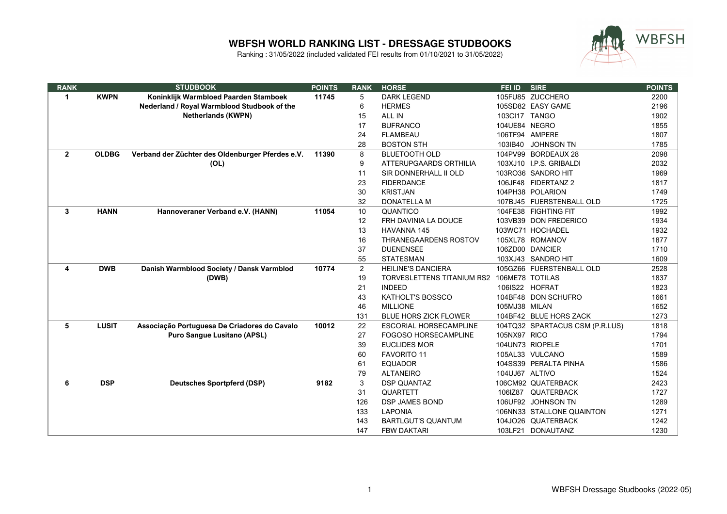

| <b>RANK</b>  |              | <b>STUDBOOK</b>                                  | <b>POINTS</b> | <b>RANK</b> | <b>HORSE</b>                      | <b>FEI ID</b>   | <b>SIRE</b>                     | <b>POINTS</b> |
|--------------|--------------|--------------------------------------------------|---------------|-------------|-----------------------------------|-----------------|---------------------------------|---------------|
| 1            | <b>KWPN</b>  | Koninklijk Warmbloed Paarden Stamboek            | 11745         | 5           | <b>DARK LEGEND</b>                |                 | 105FU85 ZUCCHERO                | 2200          |
|              |              | Nederland / Royal Warmblood Studbook of the      |               | 6           | <b>HERMES</b>                     |                 | 105SD82 EASY GAME               | 2196          |
|              |              | <b>Netherlands (KWPN)</b>                        |               | 15          | ALL IN                            | 103Cl17 TANGO   |                                 | 1902          |
|              |              |                                                  |               | 17          | <b>BUFRANCO</b>                   | 104UE84 NEGRO   |                                 | 1855          |
|              |              |                                                  |               | 24          | <b>FLAMBEAU</b>                   |                 | 106TF94 AMPERE                  | 1807          |
|              |              |                                                  |               | 28          | <b>BOSTON STH</b>                 | 103IB40         | <b>JOHNSON TN</b>               | 1785          |
| $\mathbf{2}$ | <b>OLDBG</b> | Verband der Züchter des Oldenburger Pferdes e.V. | 11390         | 8           | <b>BLUETOOTH OLD</b>              |                 | 104PV99 BORDEAUX 28             | 2098          |
|              |              | (OL)                                             |               | 9           | ATTERUPGAARDS ORTHILIA            |                 | 103XJ10 I.P.S. GRIBALDI         | 2032          |
|              |              |                                                  |               | 11          | SIR DONNERHALL II OLD             |                 | 103RO36 SANDRO HIT              | 1969          |
|              |              |                                                  |               | 23          | <b>FIDERDANCE</b>                 |                 | 106JF48 FIDERTANZ 2             | 1817          |
|              |              |                                                  |               | 30          | <b>KRISTJAN</b>                   |                 | 104PH38 POLARION                | 1749          |
|              |              |                                                  |               | 32          | <b>DONATELLA M</b>                |                 | 107BJ45 FUERSTENBALL OLD        | 1725          |
| 3            | <b>HANN</b>  | Hannoveraner Verband e.V. (HANN)                 | 11054         | 10          | QUANTICO                          |                 | 104FE38 FIGHTING FIT            | 1992          |
|              |              |                                                  |               | 12          | FRH DAVINIA LA DOUCE              |                 | 103VB39 DON FREDERICO           | 1934          |
|              |              |                                                  |               | 13          | <b>HAVANNA 145</b>                |                 | 103WC71 HOCHADEL                | 1932          |
|              |              |                                                  |               | 16          | THRANEGAARDENS ROSTOV             |                 | 105XL78 ROMANOV                 | 1877          |
|              |              |                                                  |               | 37          | <b>DUENENSEE</b>                  |                 | 106ZD00 DANCIER                 | 1710          |
|              |              |                                                  |               | 55          | <b>STATESMAN</b>                  |                 | 103XJ43 SANDRO HIT              | 1609          |
| 4            | <b>DWB</b>   | Danish Warmblood Society / Dansk Varmblod        | 10774         | 2           | <b>HEILINE'S DANCIERA</b>         |                 | 105GZ66 FUERSTENBALL OLD        | 2528          |
|              |              | (DWB)                                            |               | 19          | <b>TORVESLETTENS TITANIUM RS2</b> | 106ME78 TOTILAS |                                 | 1837          |
|              |              |                                                  |               | 21          | <b>INDEED</b>                     |                 | 106IS22 HOFRAT                  | 1823          |
|              |              |                                                  |               | 43          | KATHOLT'S BOSSCO                  |                 | 104BF48 DON SCHUFRO             | 1661          |
|              |              |                                                  |               | 46          | <b>MILLIONE</b>                   | 105MJ38 MILAN   |                                 | 1652          |
|              |              |                                                  |               | 131         | <b>BLUE HORS ZICK FLOWER</b>      |                 | 104BF42 BLUE HORS ZACK          | 1273          |
| 5            | <b>LUSIT</b> | Associação Portuguesa De Criadores do Cavalo     | 10012         | 22          | <b>ESCORIAL HORSECAMPLINE</b>     |                 | 104TQ32 SPARTACUS CSM (P.R.LUS) | 1818          |
|              |              | <b>Puro Sangue Lusitano (APSL)</b>               |               | 27          | <b>FOGOSO HORSECAMPLINE</b>       | 105NX97 RICO    |                                 | 1794          |
|              |              |                                                  |               | 39          | <b>EUCLIDES MOR</b>               |                 | 104UN73 RIOPELE                 | 1701          |
|              |              |                                                  |               | 60          | <b>FAVORITO 11</b>                |                 | 105AL33 VULCANO                 | 1589          |
|              |              |                                                  |               | 61          | <b>EQUADOR</b>                    |                 | 104SS39 PERALTA PINHA           | 1586          |
|              |              |                                                  |               | 79          | <b>ALTANEIRO</b>                  | 104UJ67 ALTIVO  |                                 | 1524          |
| 6            | <b>DSP</b>   | <b>Deutsches Sportpferd (DSP)</b>                | 9182          | 3           | <b>DSP QUANTAZ</b>                |                 | 106CM92 QUATERBACK              | 2423          |
|              |              |                                                  |               | 31          | QUARTETT                          |                 | 106IZ87 QUATERBACK              | 1727          |
|              |              |                                                  |               | 126         | <b>DSP JAMES BOND</b>             |                 | 106UF92 JOHNSON TN              | 1289          |
|              |              |                                                  |               | 133         | <b>LAPONIA</b>                    |                 | 106NN33 STALLONE QUAINTON       | 1271          |
|              |              |                                                  |               | 143         | <b>BARTLGUT'S QUANTUM</b>         |                 | 104JO26 QUATERBACK              | 1242          |
|              |              |                                                  |               | 147         | <b>FBW DAKTARI</b>                |                 | 103LF21 DONAUTANZ               | 1230          |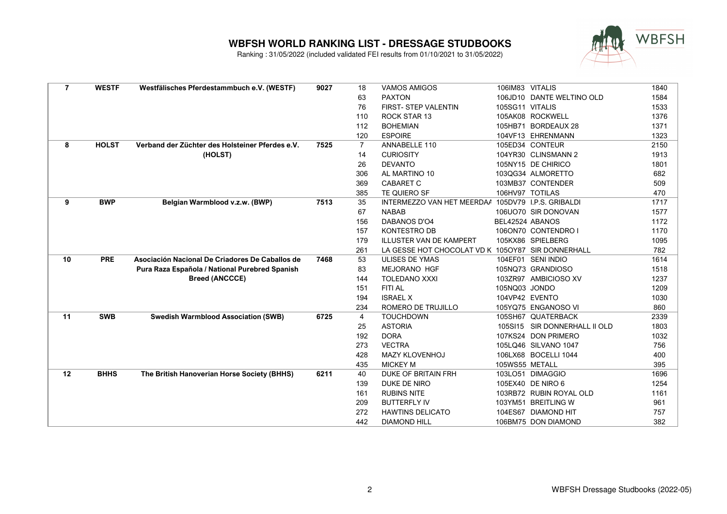

| $\overline{7}$ | <b>WESTF</b> | Westfälisches Pferdestammbuch e.V. (WESTF)      | 9027 | 18  | <b>VAMOS AMIGOS</b>                                | 106IM83 VITALIS |                               | 1840 |
|----------------|--------------|-------------------------------------------------|------|-----|----------------------------------------------------|-----------------|-------------------------------|------|
|                |              |                                                 |      | 63  | <b>PAXTON</b>                                      |                 | 106JD10 DANTE WELTINO OLD     | 1584 |
|                |              |                                                 |      | 76  | FIRST- STEP VALENTIN                               | 105SG11 VITALIS |                               | 1533 |
|                |              |                                                 |      | 110 | ROCK STAR 13                                       |                 | 105AK08 ROCKWELL              | 1376 |
|                |              |                                                 |      | 112 | <b>BOHEMIAN</b>                                    |                 | 105HB71 BORDEAUX 28           | 1371 |
|                |              |                                                 |      | 120 | <b>ESPOIRE</b>                                     |                 | 104VF13 EHRENMANN             | 1323 |
| 8              | <b>HOLST</b> | Verband der Züchter des Holsteiner Pferdes e.V. | 7525 | 7   | ANNABELLE 110                                      |                 | 105ED34 CONTEUR               | 2150 |
|                |              | (HOLST)                                         |      | 14  | <b>CURIOSITY</b>                                   |                 | 104YR30 CLINSMANN 2           | 1913 |
|                |              |                                                 |      | 26  | <b>DEVANTO</b>                                     |                 | 105NY15 DE CHIRICO            | 1801 |
|                |              |                                                 |      | 306 | AL MARTINO 10                                      |                 | 103QG34 ALMORETTO             | 682  |
|                |              |                                                 |      | 369 | <b>CABARET C</b>                                   |                 | 103MB37 CONTENDER             | 509  |
|                |              |                                                 |      | 385 | TE QUIERO SF                                       |                 | 106HV97 TOTILAS               | 470  |
| 9              | <b>BWP</b>   | Belgian Warmblood v.z.w. (BWP)                  | 7513 | 35  | INTERMEZZO VAN HET MEERDAA 105DV79 I.P.S. GRIBALDI |                 |                               | 1717 |
|                |              |                                                 |      | 67  | <b>NABAB</b>                                       |                 | 106UO70 SIR DONOVAN           | 1577 |
|                |              |                                                 |      | 156 | <b>DABANOS D'O4</b>                                | BEL42524 ABANOS |                               | 1172 |
|                |              |                                                 |      | 157 | <b>KONTESTRO DB</b>                                |                 | 106ON70 CONTENDRO I           | 1170 |
|                |              |                                                 |      | 179 | <b>ILLUSTER VAN DE KAMPERT</b>                     |                 | 105KX86 SPIELBERG             | 1095 |
|                |              |                                                 |      | 261 | LA GESSE HOT CHOCOLAT VD K 1050Y87 SIR DONNERHALL  |                 |                               | 782  |
| 10             | <b>PRE</b>   | Asociación Nacional De Criadores De Caballos de | 7468 | 53  | <b>ULISES DE YMAS</b>                              |                 | 104EF01 SENI INDIO            | 1614 |
|                |              | Pura Raza Española / National Purebred Spanish  |      | 83  | <b>MEJORANO HGF</b>                                |                 | 105NQ73 GRANDIOSO             | 1518 |
|                |              | <b>Breed (ANCCCE)</b>                           |      | 144 | <b>TOLEDANO XXXI</b>                               |                 | 103ZR97 AMBICIOSO XV          | 1237 |
|                |              |                                                 |      | 151 | FITI AL                                            | 105NQ03 JONDO   |                               | 1209 |
|                |              |                                                 |      | 194 | <b>ISRAEL X</b>                                    |                 | 104VP42 EVENTO                | 1030 |
|                |              |                                                 |      | 234 | ROMERO DE TRUJILLO                                 |                 | 105YQ75 ENGANOSO VI           | 860  |
| 11             | <b>SWB</b>   | <b>Swedish Warmblood Association (SWB)</b>      | 6725 | 4   | <b>TOUCHDOWN</b>                                   |                 | 105SH67 QUATERBACK            | 2339 |
|                |              |                                                 |      | 25  | <b>ASTORIA</b>                                     |                 | 105SI15 SIR DONNERHALL II OLD | 1803 |
|                |              |                                                 |      | 192 | <b>DORA</b>                                        |                 | 107KS24 DON PRIMERO           | 1032 |
|                |              |                                                 |      | 273 | <b>VECTRA</b>                                      |                 | 105LQ46 SILVANO 1047          | 756  |
|                |              |                                                 |      | 428 | <b>MAZY KLOVENHOJ</b>                              |                 | 106LX68 BOCELLI 1044          | 400  |
|                |              |                                                 |      | 435 | <b>MICKEY M</b>                                    | 105WS55 METALL  |                               | 395  |
| $12 \,$        | <b>BHHS</b>  | The British Hanoverian Horse Society (BHHS)     | 6211 | 40  | <b>DUKE OF BRITAIN FRH</b>                         |                 | 103LO51 DIMAGGIO              | 1696 |
|                |              |                                                 |      | 139 | DUKE DE NIRO                                       |                 | 105EX40 DE NIRO 6             | 1254 |
|                |              |                                                 |      | 161 | <b>RUBINS NITE</b>                                 |                 | 103RB72 RUBIN ROYAL OLD       | 1161 |
|                |              |                                                 |      | 209 | <b>BUTTERFLY IV</b>                                |                 | 103YM51 BREITLING W           | 961  |
|                |              |                                                 |      | 272 | <b>HAWTINS DELICATO</b>                            |                 | 104ES67 DIAMOND HIT           | 757  |
|                |              |                                                 |      | 442 | <b>DIAMOND HILL</b>                                |                 | 106BM75 DON DIAMOND           | 382  |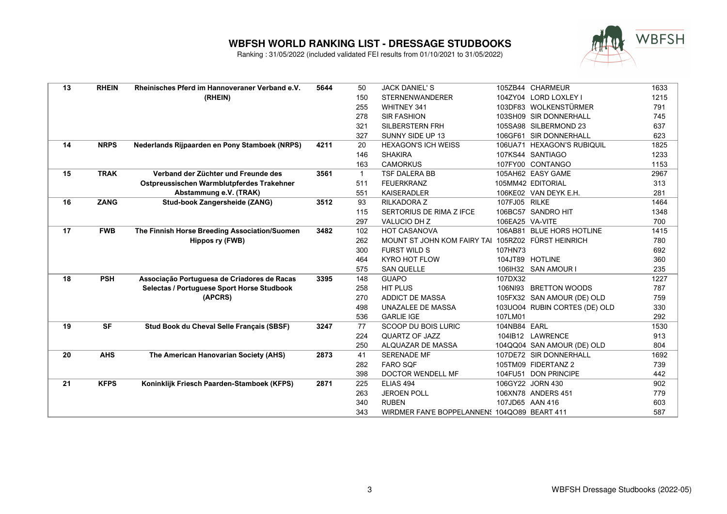

| <b>RHEIN</b><br>13<br>Rheinisches Pferd im Hannoveraner Verband e.V.<br>5644<br><b>JACK DANIEL'S</b><br>50<br>(RHEIN)<br>150<br><b>STERNENWANDERER</b><br>255<br><b>WHITNEY 341</b><br>278<br><b>SIR FASHION</b><br>321<br><b>SILBERSTERN FRH</b><br>327<br>SUNNY SIDE UP 13<br><b>NRPS</b><br>Nederlands Rijpaarden en Pony Stamboek (NRPS)<br>20<br><b>HEXAGON'S ICH WEISS</b><br>14<br>4211<br>146<br><b>SHAKIRA</b><br>163<br><b>CAMORKUS</b><br>15<br><b>TRAK</b><br>Verband der Züchter und Freunde des<br>3561<br>$\mathbf{1}$<br><b>TSF DALERA BB</b><br>Ostpreussischen Warmblutpferdes Trakehner<br>511<br><b>FEUERKRANZ</b><br>Abstammung e.V. (TRAK)<br>551<br><b>KAISERADLER</b><br>16<br><b>ZANG</b><br><b>Stud-book Zangersheide (ZANG)</b><br>3512<br>RILKADORA Z<br>93<br>115<br>SERTORIUS DE RIMA Z IFCE<br>297<br>VALUCIO DH Z<br>17<br><b>FWB</b><br>The Finnish Horse Breeding Association/Suomen<br>HOT CASANOVA<br>3482<br>102<br>MOUNT ST JOHN KOM FAIRY TAI 105RZ02 FÜRST HEINRICH<br>Hippos ry (FWB)<br>262<br><b>FURST WILD S</b><br>107HN73<br>300<br><b>KYRO HOT FLOW</b><br>464<br>575<br><b>SAN QUELLE</b><br><b>PSH</b><br>Associação Portuguesa de Criadores de Racas<br>148<br><b>GUAPO</b><br>107DX32<br>18<br>3395<br><b>Selectas / Portuguese Sport Horse Studbook</b><br>258<br><b>HIT PLUS</b><br>(APCRS)<br>270<br>ADDICT DE MASSA<br>498<br>UNAZALEE DE MASSA<br>536<br><b>GARLIE IGE</b><br>107LM01<br><b>SF</b><br>Stud Book du Cheval Selle Français (SBSF)<br>77<br>SCOOP DU BOIS LURIC<br>19<br>3247<br>QUARTZ OF JAZZ<br>224<br>ALQUAZAR DE MASSA<br>250<br><b>AHS</b><br>20<br>The American Hanovarian Society (AHS)<br>2873<br>SERENADE MF<br>41<br>282<br><b>FARO SQF</b><br>398<br>DOCTOR WENDELL MF<br>21<br><b>KFPS</b><br>Koninklijk Friesch Paarden-Stamboek (KFPS)<br>ELIAS 494<br>2871<br>225<br>263<br><b>JEROEN POLL</b> |                               |      |
|-------------------------------------------------------------------------------------------------------------------------------------------------------------------------------------------------------------------------------------------------------------------------------------------------------------------------------------------------------------------------------------------------------------------------------------------------------------------------------------------------------------------------------------------------------------------------------------------------------------------------------------------------------------------------------------------------------------------------------------------------------------------------------------------------------------------------------------------------------------------------------------------------------------------------------------------------------------------------------------------------------------------------------------------------------------------------------------------------------------------------------------------------------------------------------------------------------------------------------------------------------------------------------------------------------------------------------------------------------------------------------------------------------------------------------------------------------------------------------------------------------------------------------------------------------------------------------------------------------------------------------------------------------------------------------------------------------------------------------------------------------------------------------------------------------------------------------------------------------------------------------------|-------------------------------|------|
|                                                                                                                                                                                                                                                                                                                                                                                                                                                                                                                                                                                                                                                                                                                                                                                                                                                                                                                                                                                                                                                                                                                                                                                                                                                                                                                                                                                                                                                                                                                                                                                                                                                                                                                                                                                                                                                                                     | 105ZB44 CHARMEUR              | 1633 |
|                                                                                                                                                                                                                                                                                                                                                                                                                                                                                                                                                                                                                                                                                                                                                                                                                                                                                                                                                                                                                                                                                                                                                                                                                                                                                                                                                                                                                                                                                                                                                                                                                                                                                                                                                                                                                                                                                     | 104ZY04 LORD LOXLEY I         | 1215 |
|                                                                                                                                                                                                                                                                                                                                                                                                                                                                                                                                                                                                                                                                                                                                                                                                                                                                                                                                                                                                                                                                                                                                                                                                                                                                                                                                                                                                                                                                                                                                                                                                                                                                                                                                                                                                                                                                                     | 103DF83 WOLKENSTÜRMER         | 791  |
|                                                                                                                                                                                                                                                                                                                                                                                                                                                                                                                                                                                                                                                                                                                                                                                                                                                                                                                                                                                                                                                                                                                                                                                                                                                                                                                                                                                                                                                                                                                                                                                                                                                                                                                                                                                                                                                                                     | 103SH09 SIR DONNERHALL        | 745  |
|                                                                                                                                                                                                                                                                                                                                                                                                                                                                                                                                                                                                                                                                                                                                                                                                                                                                                                                                                                                                                                                                                                                                                                                                                                                                                                                                                                                                                                                                                                                                                                                                                                                                                                                                                                                                                                                                                     | 105SA98 SILBERMOND 23         | 637  |
|                                                                                                                                                                                                                                                                                                                                                                                                                                                                                                                                                                                                                                                                                                                                                                                                                                                                                                                                                                                                                                                                                                                                                                                                                                                                                                                                                                                                                                                                                                                                                                                                                                                                                                                                                                                                                                                                                     | 106GF61 SIR DONNERHALL        | 623  |
|                                                                                                                                                                                                                                                                                                                                                                                                                                                                                                                                                                                                                                                                                                                                                                                                                                                                                                                                                                                                                                                                                                                                                                                                                                                                                                                                                                                                                                                                                                                                                                                                                                                                                                                                                                                                                                                                                     | 106UA71 HEXAGON'S RUBIQUIL    | 1825 |
|                                                                                                                                                                                                                                                                                                                                                                                                                                                                                                                                                                                                                                                                                                                                                                                                                                                                                                                                                                                                                                                                                                                                                                                                                                                                                                                                                                                                                                                                                                                                                                                                                                                                                                                                                                                                                                                                                     | 107KS44 SANTIAGO              | 1233 |
|                                                                                                                                                                                                                                                                                                                                                                                                                                                                                                                                                                                                                                                                                                                                                                                                                                                                                                                                                                                                                                                                                                                                                                                                                                                                                                                                                                                                                                                                                                                                                                                                                                                                                                                                                                                                                                                                                     | 107FY00 CONTANGO              | 1153 |
|                                                                                                                                                                                                                                                                                                                                                                                                                                                                                                                                                                                                                                                                                                                                                                                                                                                                                                                                                                                                                                                                                                                                                                                                                                                                                                                                                                                                                                                                                                                                                                                                                                                                                                                                                                                                                                                                                     | 105AH62 EASY GAME             | 2967 |
|                                                                                                                                                                                                                                                                                                                                                                                                                                                                                                                                                                                                                                                                                                                                                                                                                                                                                                                                                                                                                                                                                                                                                                                                                                                                                                                                                                                                                                                                                                                                                                                                                                                                                                                                                                                                                                                                                     | 105MM42 EDITORIAL             | 313  |
|                                                                                                                                                                                                                                                                                                                                                                                                                                                                                                                                                                                                                                                                                                                                                                                                                                                                                                                                                                                                                                                                                                                                                                                                                                                                                                                                                                                                                                                                                                                                                                                                                                                                                                                                                                                                                                                                                     | 106KE02 VAN DEYK E.H.         | 281  |
|                                                                                                                                                                                                                                                                                                                                                                                                                                                                                                                                                                                                                                                                                                                                                                                                                                                                                                                                                                                                                                                                                                                                                                                                                                                                                                                                                                                                                                                                                                                                                                                                                                                                                                                                                                                                                                                                                     | 107FJ05 RILKE                 | 1464 |
|                                                                                                                                                                                                                                                                                                                                                                                                                                                                                                                                                                                                                                                                                                                                                                                                                                                                                                                                                                                                                                                                                                                                                                                                                                                                                                                                                                                                                                                                                                                                                                                                                                                                                                                                                                                                                                                                                     | 106BC57 SANDRO HIT            | 1348 |
|                                                                                                                                                                                                                                                                                                                                                                                                                                                                                                                                                                                                                                                                                                                                                                                                                                                                                                                                                                                                                                                                                                                                                                                                                                                                                                                                                                                                                                                                                                                                                                                                                                                                                                                                                                                                                                                                                     | 106EA25 VA-VITE               | 700  |
|                                                                                                                                                                                                                                                                                                                                                                                                                                                                                                                                                                                                                                                                                                                                                                                                                                                                                                                                                                                                                                                                                                                                                                                                                                                                                                                                                                                                                                                                                                                                                                                                                                                                                                                                                                                                                                                                                     | 106AB81 BLUE HORS HOTLINE     | 1415 |
|                                                                                                                                                                                                                                                                                                                                                                                                                                                                                                                                                                                                                                                                                                                                                                                                                                                                                                                                                                                                                                                                                                                                                                                                                                                                                                                                                                                                                                                                                                                                                                                                                                                                                                                                                                                                                                                                                     |                               | 780  |
|                                                                                                                                                                                                                                                                                                                                                                                                                                                                                                                                                                                                                                                                                                                                                                                                                                                                                                                                                                                                                                                                                                                                                                                                                                                                                                                                                                                                                                                                                                                                                                                                                                                                                                                                                                                                                                                                                     |                               | 692  |
|                                                                                                                                                                                                                                                                                                                                                                                                                                                                                                                                                                                                                                                                                                                                                                                                                                                                                                                                                                                                                                                                                                                                                                                                                                                                                                                                                                                                                                                                                                                                                                                                                                                                                                                                                                                                                                                                                     | 104JT89 HOTLINE               | 360  |
|                                                                                                                                                                                                                                                                                                                                                                                                                                                                                                                                                                                                                                                                                                                                                                                                                                                                                                                                                                                                                                                                                                                                                                                                                                                                                                                                                                                                                                                                                                                                                                                                                                                                                                                                                                                                                                                                                     | 106IH32 SAN AMOUR I           | 235  |
|                                                                                                                                                                                                                                                                                                                                                                                                                                                                                                                                                                                                                                                                                                                                                                                                                                                                                                                                                                                                                                                                                                                                                                                                                                                                                                                                                                                                                                                                                                                                                                                                                                                                                                                                                                                                                                                                                     |                               | 1227 |
|                                                                                                                                                                                                                                                                                                                                                                                                                                                                                                                                                                                                                                                                                                                                                                                                                                                                                                                                                                                                                                                                                                                                                                                                                                                                                                                                                                                                                                                                                                                                                                                                                                                                                                                                                                                                                                                                                     | 106NI93 BRETTON WOODS         | 787  |
|                                                                                                                                                                                                                                                                                                                                                                                                                                                                                                                                                                                                                                                                                                                                                                                                                                                                                                                                                                                                                                                                                                                                                                                                                                                                                                                                                                                                                                                                                                                                                                                                                                                                                                                                                                                                                                                                                     | 105FX32 SAN AMOUR (DE) OLD    | 759  |
|                                                                                                                                                                                                                                                                                                                                                                                                                                                                                                                                                                                                                                                                                                                                                                                                                                                                                                                                                                                                                                                                                                                                                                                                                                                                                                                                                                                                                                                                                                                                                                                                                                                                                                                                                                                                                                                                                     | 103UO04 RUBIN CORTES (DE) OLD | 330  |
|                                                                                                                                                                                                                                                                                                                                                                                                                                                                                                                                                                                                                                                                                                                                                                                                                                                                                                                                                                                                                                                                                                                                                                                                                                                                                                                                                                                                                                                                                                                                                                                                                                                                                                                                                                                                                                                                                     |                               | 292  |
|                                                                                                                                                                                                                                                                                                                                                                                                                                                                                                                                                                                                                                                                                                                                                                                                                                                                                                                                                                                                                                                                                                                                                                                                                                                                                                                                                                                                                                                                                                                                                                                                                                                                                                                                                                                                                                                                                     | 104NB84 EARL                  | 1530 |
|                                                                                                                                                                                                                                                                                                                                                                                                                                                                                                                                                                                                                                                                                                                                                                                                                                                                                                                                                                                                                                                                                                                                                                                                                                                                                                                                                                                                                                                                                                                                                                                                                                                                                                                                                                                                                                                                                     | 104IB12 LAWRENCE              | 913  |
|                                                                                                                                                                                                                                                                                                                                                                                                                                                                                                                                                                                                                                                                                                                                                                                                                                                                                                                                                                                                                                                                                                                                                                                                                                                                                                                                                                                                                                                                                                                                                                                                                                                                                                                                                                                                                                                                                     | 104QQ04 SAN AMOUR (DE) OLD    | 804  |
|                                                                                                                                                                                                                                                                                                                                                                                                                                                                                                                                                                                                                                                                                                                                                                                                                                                                                                                                                                                                                                                                                                                                                                                                                                                                                                                                                                                                                                                                                                                                                                                                                                                                                                                                                                                                                                                                                     | 107DE72 SIR DONNERHALL        | 1692 |
|                                                                                                                                                                                                                                                                                                                                                                                                                                                                                                                                                                                                                                                                                                                                                                                                                                                                                                                                                                                                                                                                                                                                                                                                                                                                                                                                                                                                                                                                                                                                                                                                                                                                                                                                                                                                                                                                                     | 105TM09 FIDERTANZ 2           | 739  |
|                                                                                                                                                                                                                                                                                                                                                                                                                                                                                                                                                                                                                                                                                                                                                                                                                                                                                                                                                                                                                                                                                                                                                                                                                                                                                                                                                                                                                                                                                                                                                                                                                                                                                                                                                                                                                                                                                     | 104FU51 DON PRINCIPE          | 442  |
|                                                                                                                                                                                                                                                                                                                                                                                                                                                                                                                                                                                                                                                                                                                                                                                                                                                                                                                                                                                                                                                                                                                                                                                                                                                                                                                                                                                                                                                                                                                                                                                                                                                                                                                                                                                                                                                                                     | 106GY22 JORN 430              | 902  |
|                                                                                                                                                                                                                                                                                                                                                                                                                                                                                                                                                                                                                                                                                                                                                                                                                                                                                                                                                                                                                                                                                                                                                                                                                                                                                                                                                                                                                                                                                                                                                                                                                                                                                                                                                                                                                                                                                     | 106XN78 ANDERS 451            | 779  |
| 340<br><b>RUBEN</b>                                                                                                                                                                                                                                                                                                                                                                                                                                                                                                                                                                                                                                                                                                                                                                                                                                                                                                                                                                                                                                                                                                                                                                                                                                                                                                                                                                                                                                                                                                                                                                                                                                                                                                                                                                                                                                                                 | 107JD65 AAN 416               | 603  |
| 343<br>WIRDMER FAN'E BOPPELANNENS 104QO89 BEART 411                                                                                                                                                                                                                                                                                                                                                                                                                                                                                                                                                                                                                                                                                                                                                                                                                                                                                                                                                                                                                                                                                                                                                                                                                                                                                                                                                                                                                                                                                                                                                                                                                                                                                                                                                                                                                                 |                               | 587  |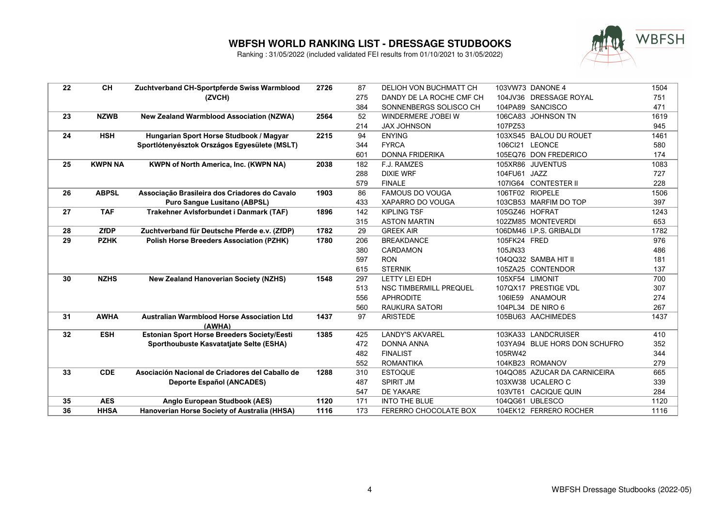

| 22 | <b>CH</b>      | Zuchtverband CH-Sportpferde Swiss Warmblood        | 2726 | 87  | DELIOH VON BUCHMATT CH        |              | 103VW73 DANONE 4              | 1504 |
|----|----------------|----------------------------------------------------|------|-----|-------------------------------|--------------|-------------------------------|------|
|    |                | (ZVCH)                                             |      | 275 | DANDY DE LA ROCHE CMF CH      |              | 104JV36 DRESSAGE ROYAL        | 751  |
|    |                |                                                    |      | 384 | SONNENBERGS SOLISCO CH        |              | 104PA89 SANCISCO              | 471  |
| 23 | <b>NZWB</b>    | <b>New Zealand Warmblood Association (NZWA)</b>    | 2564 | 52  | WINDERMERE J'OBEI W           |              | 106CA83 JOHNSON TN            | 1619 |
|    |                |                                                    |      | 214 | <b>JAX JOHNSON</b>            | 107PZ53      |                               | 945  |
| 24 | <b>HSH</b>     | Hungarian Sport Horse Studbook / Magyar            | 2215 | 94  | <b>ENYING</b>                 |              | 103XS45 BALOU DU ROUET        | 1461 |
|    |                | Sportlótenyésztok Országos Egyesülete (MSLT)       |      | 344 | <b>FYRCA</b>                  |              | 106Cl21 LEONCE                | 580  |
|    |                |                                                    |      | 601 | <b>DONNA FRIDERIKA</b>        |              | 105EQ76 DON FREDERICO         | 174  |
| 25 | <b>KWPN NA</b> | <b>KWPN of North America, Inc. (KWPN NA)</b>       | 2038 | 182 | F.J. RAMZES                   |              | 105XR86 JUVENTUS              | 1083 |
|    |                |                                                    |      | 288 | <b>DIXIE WRF</b>              | 104FU61 JAZZ |                               | 727  |
|    |                |                                                    |      | 579 | <b>FINALE</b>                 |              | 107IG64 CONTESTER II          | 228  |
| 26 | <b>ABPSL</b>   | Associação Brasileira dos Criadores do Cavalo      | 1903 | 86  | <b>FAMOUS DO VOUGA</b>        |              | 106TF02 RIOPELE               | 1506 |
|    |                | <b>Puro Sangue Lusitano (ABPSL)</b>                |      | 433 | XAPARRO DO VOUGA              |              | 103CB53 MARFIM DO TOP         | 397  |
| 27 | <b>TAF</b>     | Trakehner Avlsforbundet i Danmark (TAF)            | 1896 | 142 | <b>KIPLING TSF</b>            |              | 105GZ46 HOFRAT                | 1243 |
|    |                |                                                    |      | 315 | <b>ASTON MARTIN</b>           |              | 102ZM85 MONTEVERDI            | 653  |
| 28 | <b>ZfDP</b>    | Zuchtverband für Deutsche Pferde e.v. (ZfDP)       | 1782 | 29  | <b>GREEK AIR</b>              |              | 106DM46 I.P.S. GRIBALDI       | 1782 |
| 29 | <b>PZHK</b>    | <b>Polish Horse Breeders Association (PZHK)</b>    | 1780 | 206 | <b>BREAKDANCE</b>             | 105FK24 FRED |                               | 976  |
|    |                |                                                    |      | 380 | <b>CARDAMON</b>               | 105JN33      |                               | 486  |
|    |                |                                                    |      | 597 | <b>RON</b>                    |              | 104QQ32 SAMBA HIT II          | 181  |
|    |                |                                                    |      | 615 | <b>STERNIK</b>                |              | 105ZA25 CONTENDOR             | 137  |
| 30 | <b>NZHS</b>    | <b>New Zealand Hanoverian Society (NZHS)</b>       | 1548 | 297 | LETTY LEI EDH                 |              | 105XF54 LIMONIT               | 700  |
|    |                |                                                    |      | 513 | <b>NSC TIMBERMILL PREQUEL</b> |              | 107QX17 PRESTIGE VDL          | 307  |
|    |                |                                                    |      | 556 | <b>APHRODITE</b>              |              | 106IE59 ANAMOUR               | 274  |
|    |                |                                                    |      | 560 | <b>RAUKURA SATORI</b>         |              | 104PL34 DE NIRO 6             | 267  |
| 31 | <b>AWHA</b>    | <b>Australian Warmblood Horse Association Ltd</b>  | 1437 | 97  | <b>ARISTEDE</b>               |              | 105BU63 AACHIMEDES            | 1437 |
|    |                | (AWHA)                                             |      |     |                               |              |                               |      |
| 32 | <b>ESH</b>     | <b>Estonian Sport Horse Breeders Society/Eesti</b> | 1385 | 425 | <b>LANDY'S AKVAREL</b>        |              | 103KA33 LANDCRUISER           | 410  |
|    |                | Sporthoubuste Kasvatatjate Selte (ESHA)            |      | 472 | <b>DONNA ANNA</b>             |              | 103YA94 BLUE HORS DON SCHUFRO | 352  |
|    |                |                                                    |      | 482 | <b>FINALIST</b>               | 105RW42      |                               | 344  |
|    |                |                                                    |      | 552 | <b>ROMANTIKA</b>              |              | 104KB23 ROMANOV               | 279  |
| 33 | <b>CDE</b>     | Asociación Nacional de Criadores del Caballo de    | 1288 | 310 | <b>ESTOQUE</b>                |              | 104QO85 AZUCAR DA CARNICEIRA  | 665  |
|    |                | <b>Deporte Español (ANCADES)</b>                   |      | 487 | <b>SPIRIT JM</b>              |              | 103XW38 UCALERO C             | 339  |
|    |                |                                                    |      | 547 | DE YAKARE                     |              | 103VT61 CACIQUE QUIN          | 284  |
| 35 | <b>AES</b>     | Anglo European Studbook (AES)                      | 1120 | 171 | <b>INTO THE BLUE</b>          |              | 104QG61 UBLESCO               | 1120 |
| 36 | <b>HHSA</b>    | Hanoverian Horse Society of Australia (HHSA)       | 1116 | 173 | FERERRO CHOCOLATE BOX         |              | 104EK12 FERRERO ROCHER        | 1116 |